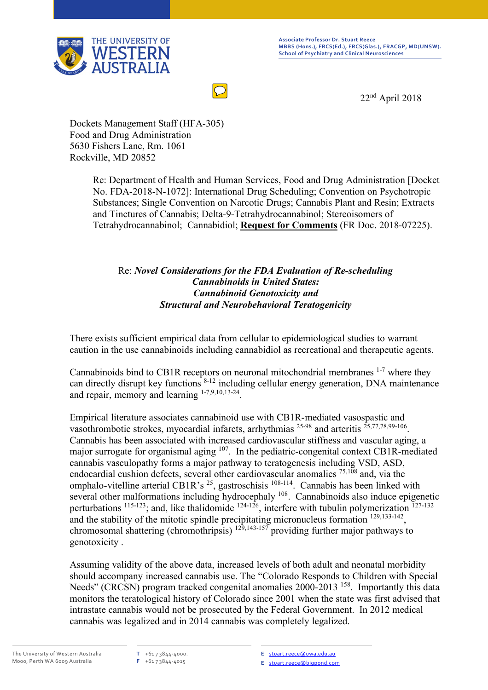

22nd April 2018

 $\bigcirc$ 

Dockets Management Staff (HFA-305) Food and Drug Administration 5630 Fishers Lane, Rm. 1061 Rockville, MD 20852

> Re: Department of Health and Human Services, Food and Drug Administration [Docket No. FDA-2018-N-1072]: International Drug Scheduling; Convention on Psychotropic Substances; Single Convention on Narcotic Drugs; Cannabis Plant and Resin; Extracts and Tinctures of Cannabis; Delta-9-Tetrahydrocannabinol; Stereoisomers of Tetrahydrocannabinol; Cannabidiol; **Request for Comments** (FR Doc. 2018-07225).

#### Re: *Novel Considerations for the FDA Evaluation of Re-scheduling Cannabinoids in United States: Cannabinoid Genotoxicity and Structural and Neurobehavioral Teratogenicity*

There exists sufficient empirical data from cellular to epidemiological studies to warrant caution in the use cannabinoids including cannabidiol as recreational and therapeutic agents.

Cannabinoids bind to CB1R receptors on neuronal mitochondrial membranes  $1-7$  where they can directly disrupt key functions  $8-12$  including cellular energy generation, DNA maintenance and repair, memory and learning  $1-7,9,10,13-24$ .

Empirical literature associates cannabinoid use with CB1R-mediated vasospastic and vasothrombotic strokes, myocardial infarcts, arrhythmias <sup>25-98</sup> and arteritis <sup>25,77,78,99-106</sup>. Cannabis has been associated with increased cardiovascular stiffness and vascular aging, a major surrogate for organismal aging <sup>107</sup>. In the pediatric-congenital context CB1R-mediated cannabis vasculopathy forms a major pathway to teratogenesis including VSD, ASD, endocardial cushion defects, several other cardiovascular anomalies 75,108 and, via the omphalo-vitelline arterial CB1R's  $^{25}$ , gastroschisis  $^{108-114}$ . Cannabis has been linked with several other malformations including hydrocephaly <sup>108</sup>. Cannabinoids also induce epigenetic perturbations <sup>115-123</sup>; and, like thalidomide <sup>124-126</sup>, interfere with tubulin polymerization <sup>127-132</sup> and the stability of the mitotic spindle precipitating micronucleus formation <sup>129,133-142</sup>, chromosomal shattering (chromothripsis)  $129,143-157$  providing further major pathways to genotoxicity .

Assuming validity of the above data, increased levels of both adult and neonatal morbidity should accompany increased cannabis use. The "Colorado Responds to Children with Special Needs" (CRCSN) program tracked congenital anomalies 2000-2013<sup>158</sup>. Importantly this data monitors the teratological history of Colorado since 2001 when the state was first advised that intrastate cannabis would not be prosecuted by the Federal Government. In 2012 medical cannabis was legalized and in 2014 cannabis was completely legalized.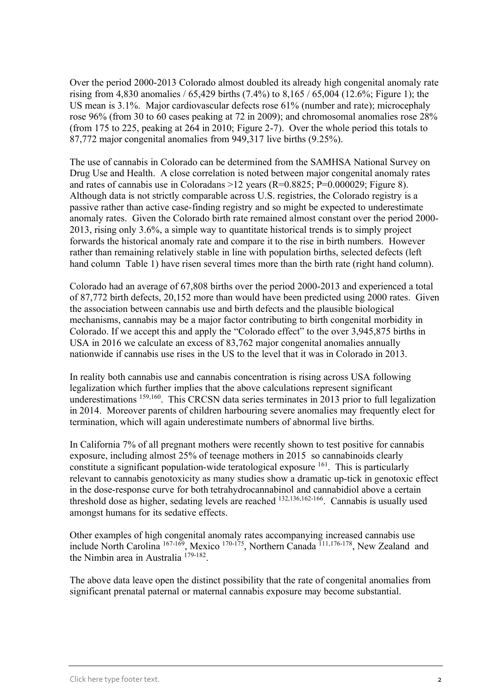Over the period 2000-2013 Colorado almost doubled its already high congenital anomaly rate rising from 4,830 anomalies / 65,429 births (7.4%) to 8,165 / 65,004 (12.6%; Figure 1); the US mean is 3.1%. Major cardiovascular defects rose 61% (number and rate); microcephaly rose 96% (from 30 to 60 cases peaking at 72 in 2009); and chromosomal anomalies rose 28% (from 175 to 225, peaking at 264 in 2010; Figure 2-7). Over the whole period this totals to 87,772 major congenital anomalies from 949,317 live births (9.25%).

The use of cannabis in Colorado can be determined from the SAMHSA National Survey on Drug Use and Health. A close correlation is noted between major congenital anomaly rates and rates of cannabis use in Coloradans  $>12$  years (R=0.8825; P=0.000029; Figure 8). Although data is not strictly comparable across U.S. registries, the Colorado registry is a passive rather than active case-finding registry and so might be expected to underestimate anomaly rates. Given the Colorado birth rate remained almost constant over the period 2000- 2013, rising only 3.6%, a simple way to quantitate historical trends is to simply project forwards the historical anomaly rate and compare it to the rise in birth numbers. However rather than remaining relatively stable in line with population births, selected defects (left hand column Table 1) have risen several times more than the birth rate (right hand column).

Colorado had an average of 67,808 births over the period 2000-2013 and experienced a total of 87,772 birth defects, 20,152 more than would have been predicted using 2000 rates. Given the association between cannabis use and birth defects and the plausible biological mechanisms, cannabis may be a major factor contributing to birth congenital morbidity in Colorado. If we accept this and apply the "Colorado effect" to the over 3,945,875 births in USA in 2016 we calculate an excess of 83,762 major congenital anomalies annually nationwide if cannabis use rises in the US to the level that it was in Colorado in 2013.

In reality both cannabis use and cannabis concentration is rising across USA following legalization which further implies that the above calculations represent significant underestimations <sup>159,160</sup>. This CRCSN data series terminates in 2013 prior to full legalization in 2014. Moreover parents of children harbouring severe anomalies may frequently elect for termination, which will again underestimate numbers of abnormal live births.

In California 7% of all pregnant mothers were recently shown to test positive for cannabis exposure, including almost 25% of teenage mothers in 2015 so cannabinoids clearly constitute a significant population-wide teratological exposure <sup>161</sup>. This is particularly relevant to cannabis genotoxicity as many studies show a dramatic up-tick in genotoxic effect in the dose-response curve for both tetrahydrocannabinol and cannabidiol above a certain threshold dose as higher, sedating levels are reached <sup>132,136,162-166</sup>. Cannabis is usually used amongst humans for its sedative effects.

Other examples of high congenital anomaly rates accompanying increased cannabis use include North Carolina <sup>167-169</sup>, Mexico <sup>170-175</sup>, Northern Canada <sup>111,176-178</sup>, New Zealand and the Nimbin area in Australia<sup>179-182</sup>.

The above data leave open the distinct possibility that the rate of congenital anomalies from significant prenatal paternal or maternal cannabis exposure may become substantial.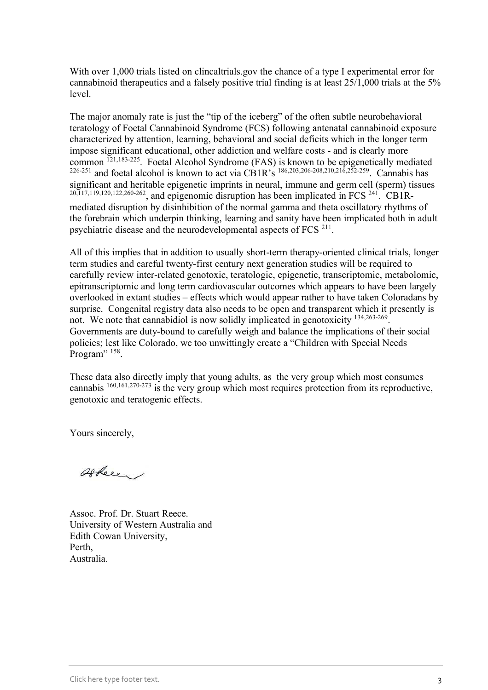With over 1,000 trials listed on clincaltrials gov the chance of a type I experimental error for cannabinoid therapeutics and a falsely positive trial finding is at least 25/1,000 trials at the 5% level.

The major anomaly rate is just the "tip of the iceberg" of the often subtle neurobehavioral teratology of Foetal Cannabinoid Syndrome (FCS) following antenatal cannabinoid exposure characterized by attention, learning, behavioral and social deficits which in the longer term impose significant educational, other addiction and welfare costs - and is clearly more common<sup>121,183-225</sup>. Foetal Alcohol Syndrome (FAS) is known to be epigenetically mediated <sup>226-251</sup> and foetal alcohol is known to act via CB1R's <sup>186,203,206-208,210,216,252-259</sup>. Cannabis has significant and heritable epigenetic imprints in neural, immune and germ cell (sperm) tissues  $20,117,119,120,122,260-262$ , and epigenomic disruption has been implicated in FCS  $241$ . CB1Rmediated disruption by disinhibition of the normal gamma and theta oscillatory rhythms of the forebrain which underpin thinking, learning and sanity have been implicated both in adult psychiatric disease and the neurodevelopmental aspects of FCS  $^{211}$ .

All of this implies that in addition to usually short-term therapy-oriented clinical trials, longer term studies and careful twenty-first century next generation studies will be required to carefully review inter-related genotoxic, teratologic, epigenetic, transcriptomic, metabolomic, epitranscriptomic and long term cardiovascular outcomes which appears to have been largely overlooked in extant studies – effects which would appear rather to have taken Coloradans by surprise. Congenital registry data also needs to be open and transparent which it presently is not. We note that cannabidiol is now solidly implicated in genotoxicity <sup>134,263-269</sup>. Governments are duty-bound to carefully weigh and balance the implications of their social policies; lest like Colorado, we too unwittingly create a "Children with Special Needs Program"<sup>158</sup>.

These data also directly imply that young adults, as the very group which most consumes cannabis 160,161,270-273 is the very group which most requires protection from its reproductive, genotoxic and teratogenic effects.

Yours sincerely,

Offere /

Assoc. Prof. Dr. Stuart Reece. University of Western Australia and Edith Cowan University, Perth, Australia.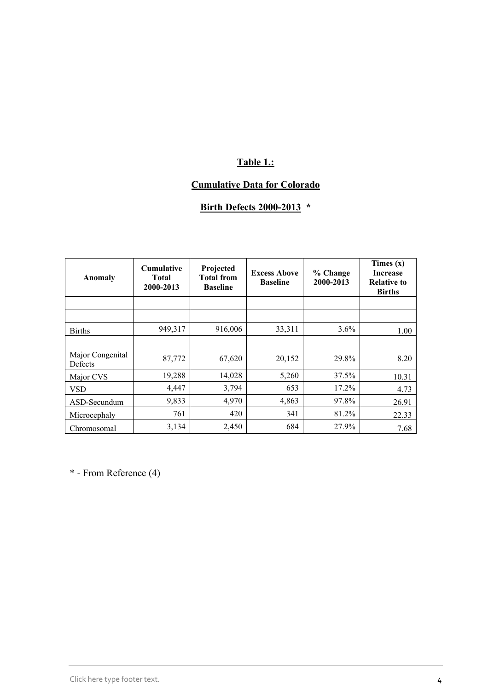## **Table 1.:**

### **Cumulative Data for Colorado**

# **Birth Defects 2000-2013 \***

| Anomaly                     | <b>Cumulative</b><br><b>Total</b><br>2000-2013 | Projected<br><b>Total from</b><br><b>Baseline</b> | <b>Excess Above</b><br><b>Baseline</b> | % Change<br>2000-2013 | Times $(x)$<br><b>Increase</b><br><b>Relative to</b><br><b>Births</b> |
|-----------------------------|------------------------------------------------|---------------------------------------------------|----------------------------------------|-----------------------|-----------------------------------------------------------------------|
|                             |                                                |                                                   |                                        |                       |                                                                       |
|                             |                                                |                                                   |                                        |                       |                                                                       |
| <b>Births</b>               | 949,317                                        | 916,006                                           | 33,311                                 | 3.6%                  | 1.00                                                                  |
|                             |                                                |                                                   |                                        |                       |                                                                       |
| Major Congenital<br>Defects | 87,772                                         | 67,620                                            | 20,152                                 | 29.8%                 | 8.20                                                                  |
| Major CVS                   | 19,288                                         | 14,028                                            | 5,260                                  | 37.5%                 | 10.31                                                                 |
| <b>VSD</b>                  | 4,447                                          | 3,794                                             | 653                                    | $17.2\%$              | 4.73                                                                  |
| ASD-Secundum                | 9,833                                          | 4,970                                             | 4,863                                  | 97.8%                 | 26.91                                                                 |
| Microcephaly                | 761                                            | 420                                               | 341                                    | 81.2%                 | 22.33                                                                 |
| Chromosomal                 | 3,134                                          | 2,450                                             | 684                                    | 27.9%                 | 7.68                                                                  |

\* - From Reference (4)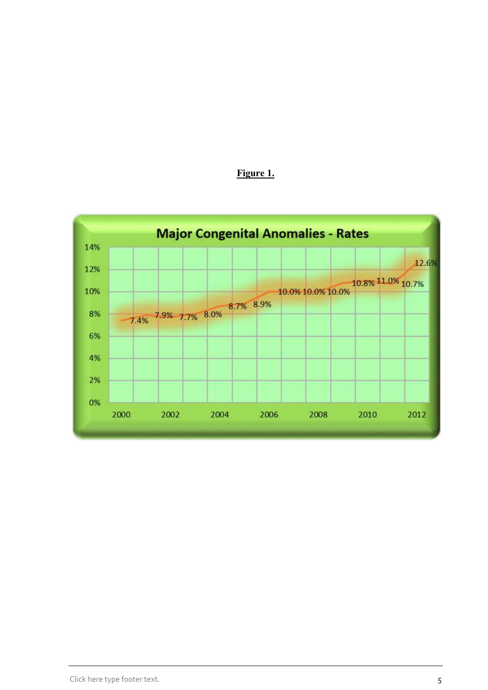

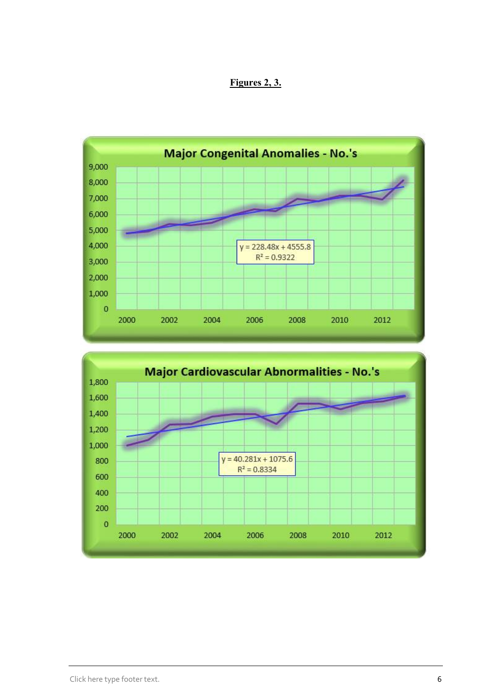#### **Figures 2, 3.**



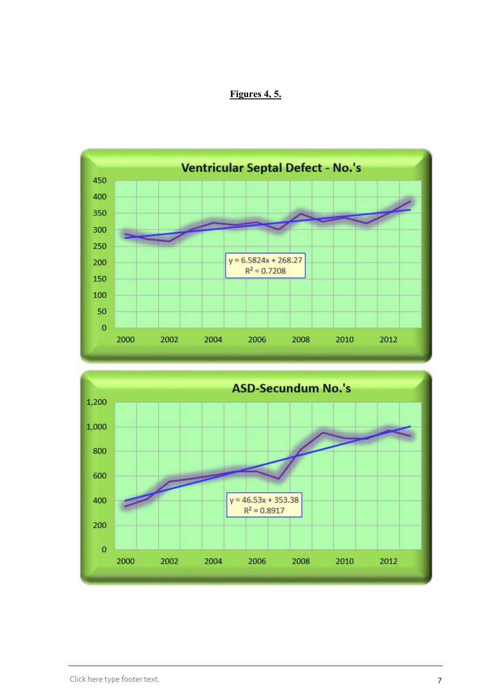#### **Figures 4, 5.**



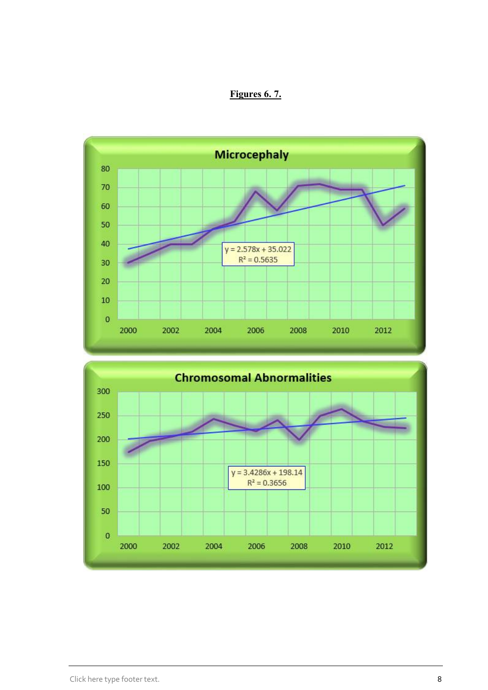#### **Figures 6. 7.**



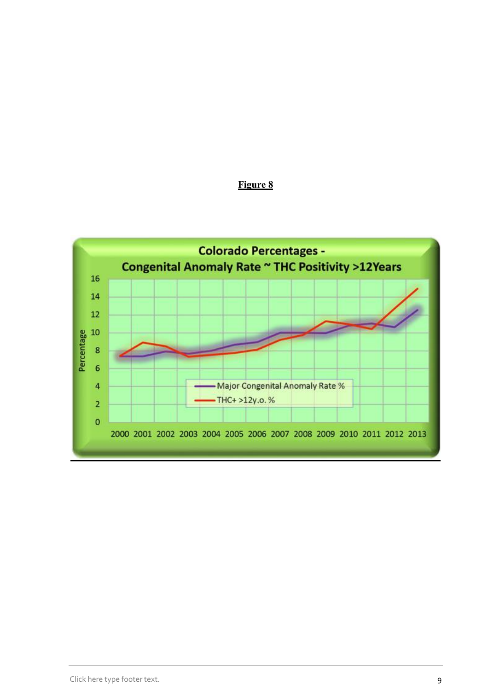

**Figure 8**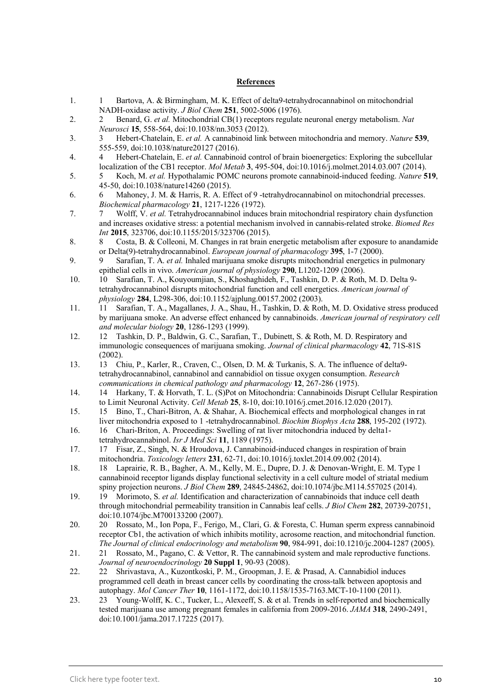#### **References**

- 1. 1 Bartova, A. & Birmingham, M. K. Effect of delta9-tetrahydrocannabinol on mitochondrial NADH-oxidase activity. *J Biol Chem* **251**, 5002-5006 (1976).
- 2. 2 Benard, G. *et al.* Mitochondrial CB(1) receptors regulate neuronal energy metabolism. *Nat Neurosci* **15**, 558-564, doi:10.1038/nn.3053 (2012).
- 3. 3 Hebert-Chatelain, E. *et al.* A cannabinoid link between mitochondria and memory. *Nature* **539**, 555-559, doi:10.1038/nature20127 (2016).
- 4. 4 Hebert-Chatelain, E. *et al.* Cannabinoid control of brain bioenergetics: Exploring the subcellular localization of the CB1 receptor. *Mol Metab* **3**, 495-504, doi:10.1016/j.molmet.2014.03.007 (2014).
- 5. 5 Koch, M. *et al.* Hypothalamic POMC neurons promote cannabinoid-induced feeding. *Nature* **519**, 45-50, doi:10.1038/nature14260 (2015).
- 6. 6 Mahoney, J. M. & Harris, R. A. Effect of 9 -tetrahydrocannabinol on mitochondrial precesses. *Biochemical pharmacology* **21**, 1217-1226 (1972).
- 7. 7 Wolff, V. *et al.* Tetrahydrocannabinol induces brain mitochondrial respiratory chain dysfunction and increases oxidative stress: a potential mechanism involved in cannabis-related stroke. *Biomed Res Int* **2015**, 323706, doi:10.1155/2015/323706 (2015).
- 8. 8 Costa, B. & Colleoni, M. Changes in rat brain energetic metabolism after exposure to anandamide or Delta(9)-tetrahydrocannabinol. *European journal of pharmacology* **395**, 1-7 (2000).
- 9. 9 Sarafian, T. A. *et al.* Inhaled marijuana smoke disrupts mitochondrial energetics in pulmonary epithelial cells in vivo. *American journal of physiology* **290**, L1202-1209 (2006).
- 10. 10 Sarafian, T. A., Kouyoumjian, S., Khoshaghideh, F., Tashkin, D. P. & Roth, M. D. Delta 9 tetrahydrocannabinol disrupts mitochondrial function and cell energetics. *American journal of physiology* **284**, L298-306, doi:10.1152/ajplung.00157.2002 (2003).
- 11. 11 Sarafian, T. A., Magallanes, J. A., Shau, H., Tashkin, D. & Roth, M. D. Oxidative stress produced by marijuana smoke. An adverse effect enhanced by cannabinoids. *American journal of respiratory cell and molecular biology* **20**, 1286-1293 (1999).
- 12. 12 Tashkin, D. P., Baldwin, G. C., Sarafian, T., Dubinett, S. & Roth, M. D. Respiratory and immunologic consequences of marijuana smoking. *Journal of clinical pharmacology* **42**, 71S-81S (2002).
- 13. 13 Chiu, P., Karler, R., Craven, C., Olsen, D. M. & Turkanis, S. A. The influence of delta9 tetrahydrocannabinol, cannabinol and cannabidiol on tissue oxygen consumption. *Research communications in chemical pathology and pharmacology* **12**, 267-286 (1975).
- 14. 14 Harkany, T. & Horvath, T. L. (S)Pot on Mitochondria: Cannabinoids Disrupt Cellular Respiration to Limit Neuronal Activity. *Cell Metab* **25**, 8-10, doi:10.1016/j.cmet.2016.12.020 (2017).
- 15. 15 Bino, T., Chari-Bitron, A. & Shahar, A. Biochemical effects and morphological changes in rat liver mitochondria exposed to 1 -tetrahydrocannabinol. *Biochim Biophys Acta* **288**, 195-202 (1972).
- 16. 16 Chari-Briton, A. Proceedings: Swelling of rat liver mitochondria induced by delta1 tetrahydrocannabinol. *Isr J Med Sci* **11**, 1189 (1975).
- 17. 17 Fisar, Z., Singh, N. & Hroudova, J. Cannabinoid-induced changes in respiration of brain mitochondria. *Toxicology letters* **231**, 62-71, doi:10.1016/j.toxlet.2014.09.002 (2014).
- 18. 18 Laprairie, R. B., Bagher, A. M., Kelly, M. E., Dupre, D. J. & Denovan-Wright, E. M. Type 1 cannabinoid receptor ligands display functional selectivity in a cell culture model of striatal medium spiny projection neurons. *J Biol Chem* **289**, 24845-24862, doi:10.1074/jbc.M114.557025 (2014).
- 19. 19 Morimoto, S. *et al.* Identification and characterization of cannabinoids that induce cell death through mitochondrial permeability transition in Cannabis leaf cells. *J Biol Chem* **282**, 20739-20751, doi:10.1074/jbc.M700133200 (2007).
- 20. 20 Rossato, M., Ion Popa, F., Ferigo, M., Clari, G. & Foresta, C. Human sperm express cannabinoid receptor Cb1, the activation of which inhibits motility, acrosome reaction, and mitochondrial function. *The Journal of clinical endocrinology and metabolism* **90**, 984-991, doi:10.1210/jc.2004-1287 (2005).
- 21. 21 Rossato, M., Pagano, C. & Vettor, R. The cannabinoid system and male reproductive functions. *Journal of neuroendocrinology* **20 Suppl 1**, 90-93 (2008).
- 22. 22 Shrivastava, A., Kuzontkoski, P. M., Groopman, J. E. & Prasad, A. Cannabidiol induces programmed cell death in breast cancer cells by coordinating the cross-talk between apoptosis and autophagy. *Mol Cancer Ther* **10**, 1161-1172, doi:10.1158/1535-7163.MCT-10-1100 (2011).
- 23. 23 Young-Wolff, K. C., Tucker, L., Alexeeff, S. & et al. Trends in self-reported and biochemically tested marijuana use among pregnant females in california from 2009-2016. *JAMA* **318**, 2490-2491, doi:10.1001/jama.2017.17225 (2017).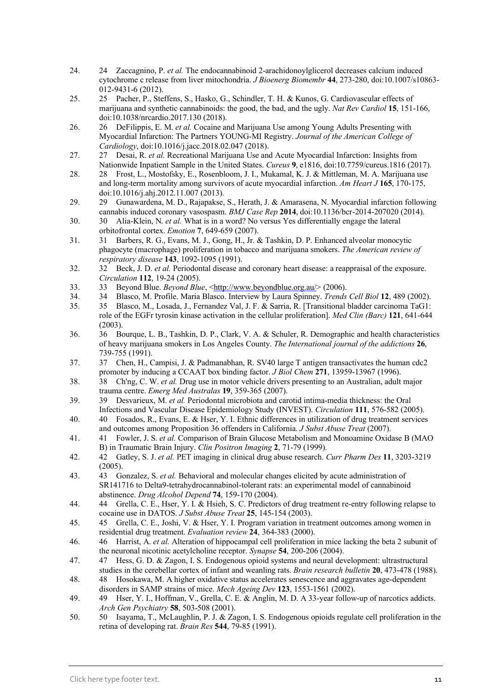- 24. 24 Zaccagnino, P. *et al.* The endocannabinoid 2-arachidonoylglicerol decreases calcium induced cytochrome c release from liver mitochondria. *J Bioenerg Biomembr* **44**, 273-280, doi:10.1007/s10863- 012-9431-6 (2012).
- 25. 25 Pacher, P., Steffens, S., Hasko, G., Schindler, T. H. & Kunos, G. Cardiovascular effects of marijuana and synthetic cannabinoids: the good, the bad, and the ugly. *Nat Rev Cardiol* **15**, 151-166, doi:10.1038/nrcardio.2017.130 (2018).
- 26. 26 DeFilippis, E. M. *et al.* Cocaine and Marijuana Use among Young Adults Presenting with Myocardial Infarction: The Partners YOUNG-MI Registry. *Journal of the American College of Cardiology*, doi:10.1016/j.jacc.2018.02.047 (2018).
- 27. 27 Desai, R. *et al.* Recreational Marijuana Use and Acute Myocardial Infarction: Insights from Nationwide Inpatient Sample in the United States. *Cureus* **9**, e1816, doi:10.7759/cureus.1816 (2017).
- 28. 28 Frost, L., Mostofsky, E., Rosenbloom, J. I., Mukamal, K. J. & Mittleman, M. A. Marijuana use and long-term mortality among survivors of acute myocardial infarction. *Am Heart J* **165**, 170-175, doi:10.1016/j.ahj.2012.11.007 (2013).
- 29. 29 Gunawardena, M. D., Rajapakse, S., Herath, J. & Amarasena, N. Myocardial infarction following cannabis induced coronary vasospasm. *BMJ Case Rep* 2014, doi:10.1136/bcr-2014-207020 (2014).<br>30 Alia-Klein, N. *et al.* What is in a word? No versus Yes differentially engage the lateral
- 30. 30 Alia-Klein, N. *et al.* What is in a word? No versus Yes differentially engage the lateral orbitofrontal cortex. *Emotion* **7**, 649-659 (2007).
- 31. 31 Barbers, R. G., Evans, M. J., Gong, H., Jr. & Tashkin, D. P. Enhanced alveolar monocytic phagocyte (macrophage) proliferation in tobacco and marijuana smokers. *The American review of respiratory disease* **143**, 1092-1095 (1991).
- 32. 32 Beck, J. D. *et al.* Periodontal disease and coronary heart disease: a reappraisal of the exposure. *Circulation* **112**, 19-24 (2005).
- 33. 33 Beyond Blue. *Beyond Blue*, <[http://www.beyondblue.org.au/>](http://www.beyondblue.org.au/) (2006).
- 34. 34 Blasco, M. Profile. Maria Blasco. Interview by Laura Spinney. *Trends Cell Biol* **12**, 489 (2002).
- 35. 35 Blasco, M., Losada, J., Fernandez Val, J. F. & Sarria, R. [Transitional bladder carcinoma TaG1: role of the EGFr tyrosin kinase activation in the cellular proliferation]. *Med Clin (Barc)* **121**, 641-644  $(2003)$
- 36. 36 Bourque, L. B., Tashkin, D. P., Clark, V. A. & Schuler, R. Demographic and health characteristics of heavy marijuana smokers in Los Angeles County. *The International journal of the addictions* **26**, 739-755 (1991).
- 37. 37 Chen, H., Campisi, J. & Padmanabhan, R. SV40 large T antigen transactivates the human cdc2 promoter by inducing a CCAAT box binding factor. *J Biol Chem* **271**, 13959-13967 (1996).
- 38. 38 Ch'ng, C. W. *et al.* Drug use in motor vehicle drivers presenting to an Australian, adult major trauma centre. *Emerg Med Australas* **19**, 359-365 (2007).
- 39. 39 Desvarieux, M. *et al.* Periodontal microbiota and carotid intima-media thickness: the Oral Infections and Vascular Disease Epidemiology Study (INVEST). *Circulation* **111**, 576-582 (2005).
- 40. 40 Fosados, R., Evans, E. & Hser, Y. I. Ethnic differences in utilization of drug treatment services and outcomes among Proposition 36 offenders in California. *J Subst Abuse Treat* (2007).
- 41. 41 Fowler, J. S. *et al.* Comparison of Brain Glucose Metabolism and Monoamine Oxidase B (MAO B) in Traumatic Brain Injury. *Clin Positron Imaging* **2**, 71-79 (1999).
- 42. 42 Gatley, S. J. *et al.* PET imaging in clinical drug abuse research. *Curr Pharm Des* **11**, 3203-3219 (2005).
- 43. 43 Gonzalez, S. *et al.* Behavioral and molecular changes elicited by acute administration of SR141716 to Delta9-tetrahydrocannabinol-tolerant rats: an experimental model of cannabinoid abstinence. *Drug Alcohol Depend* **74**, 159-170 (2004).
- 44. 44 Grella, C. E., Hser, Y. I. & Hsieh, S. C. Predictors of drug treatment re-entry following relapse to cocaine use in DATOS. *J Subst Abuse Treat* **25**, 145-154 (2003).
- 45. 45 Grella, C. E., Joshi, V. & Hser, Y. I. Program variation in treatment outcomes among women in residential drug treatment. *Evaluation review* **24**, 364-383 (2000).
- 46. 46 Harrist, A. *et al.* Alteration of hippocampal cell proliferation in mice lacking the beta 2 subunit of the neuronal nicotinic acetylcholine receptor. *Synapse* **54**, 200-206 (2004).
- 47. 47 Hess, G. D. & Zagon, I. S. Endogenous opioid systems and neural development: ultrastructural studies in the cerebellar cortex of infant and weanling rats. *Brain research bulletin* **20**, 473-478 (1988).
- 48. 48 Hosokawa, M. A higher oxidative status accelerates senescence and aggravates age-dependent disorders in SAMP strains of mice. *Mech Ageing Dev* **123**, 1553-1561 (2002).
- 49. 49 Hser, Y. I., Hoffman, V., Grella, C. E. & Anglin, M. D. A 33-year follow-up of narcotics addicts. *Arch Gen Psychiatry* **58**, 503-508 (2001).
- 50. 50 Isayama, T., McLaughlin, P. J. & Zagon, I. S. Endogenous opioids regulate cell proliferation in the retina of developing rat. *Brain Res* **544**, 79-85 (1991).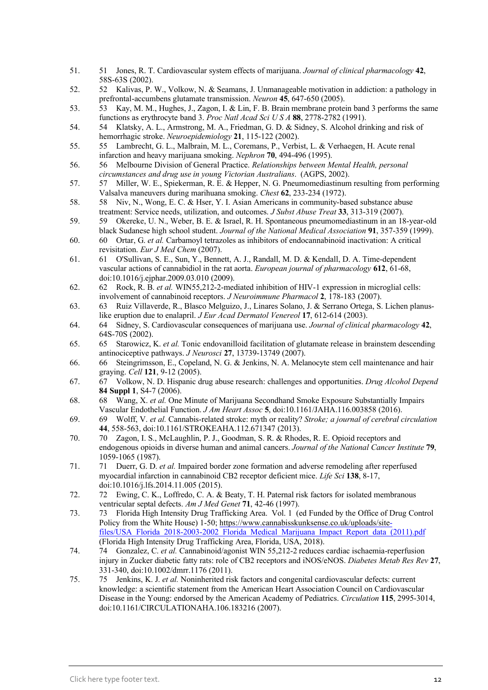- 51. 51 Jones, R. T. Cardiovascular system effects of marijuana. *Journal of clinical pharmacology* **42**, 58S-63S (2002).
- 52. 52 Kalivas, P. W., Volkow, N. & Seamans, J. Unmanageable motivation in addiction: a pathology in prefrontal-accumbens glutamate transmission. *Neuron* **45**, 647-650 (2005).
- 53. 53 Kay, M. M., Hughes, J., Zagon, I. & Lin, F. B. Brain membrane protein band 3 performs the same functions as erythrocyte band 3. *Proc Natl Acad Sci U S A* **88**, 2778-2782 (1991).
- 54. 54 Klatsky, A. L., Armstrong, M. A., Friedman, G. D. & Sidney, S. Alcohol drinking and risk of hemorrhagic stroke. *Neuroepidemiology* **21**, 115-122 (2002).
- 55. 55 Lambrecht, G. L., Malbrain, M. L., Coremans, P., Verbist, L. & Verhaegen, H. Acute renal infarction and heavy marijuana smoking. *Nephron* **70**, 494-496 (1995).
- 56. 56 Melbourne Division of General Practice. *Relationships between Mental Health, personal circumstances and drug use in young Victorian Australians*. (AGPS, 2002).
- 57. 57 Miller, W. E., Spiekerman, R. E. & Hepper, N. G. Pneumomediastinum resulting from performing Valsalva maneuvers during marihuana smoking. *Chest* **62**, 233-234 (1972).
- 58. 58 Niv, N., Wong, E. C. & Hser, Y. I. Asian Americans in community-based substance abuse treatment: Service needs, utilization, and outcomes. *J Subst Abuse Treat* **33**, 313-319 (2007).
- 59. 59 Okereke, U. N., Weber, B. E. & Israel, R. H. Spontaneous pneumomediastinum in an 18-year-old black Sudanese high school student. *Journal of the National Medical Association* **91**, 357-359 (1999).
- 60. 60 Ortar, G. *et al.* Carbamoyl tetrazoles as inhibitors of endocannabinoid inactivation: A critical revisitation. *Eur J Med Chem* (2007).
- 61. 61 O'Sullivan, S. E., Sun, Y., Bennett, A. J., Randall, M. D. & Kendall, D. A. Time-dependent vascular actions of cannabidiol in the rat aorta. *European journal of pharmacology* **612**, 61-68, doi:10.1016/j.ejphar.2009.03.010 (2009).
- 62. 62 Rock, R. B. *et al.* WIN55,212-2-mediated inhibition of HIV-1 expression in microglial cells: involvement of cannabinoid receptors. *J Neuroimmune Pharmacol* **2**, 178-183 (2007).
- 63. 63 Ruiz Villaverde, R., Blasco Melguizo, J., Linares Solano, J. & Serrano Ortega, S. Lichen planuslike eruption due to enalapril. *J Eur Acad Dermatol Venereol* **17**, 612-614 (2003).
- 64. 64 Sidney, S. Cardiovascular consequences of marijuana use. *Journal of clinical pharmacology* **42**, 64S-70S (2002).
- 65. 65 Starowicz, K. *et al.* Tonic endovanilloid facilitation of glutamate release in brainstem descending antinociceptive pathways. *J Neurosci* **27**, 13739-13749 (2007).
- 66. 66 Steingrimsson, E., Copeland, N. G. & Jenkins, N. A. Melanocyte stem cell maintenance and hair graying. *Cell* **121**, 9-12 (2005).
- 67. 67 Volkow, N. D. Hispanic drug abuse research: challenges and opportunities. *Drug Alcohol Depend* **84 Suppl 1**, S4-7 (2006).
- 68. 68 Wang, X. *et al.* One Minute of Marijuana Secondhand Smoke Exposure Substantially Impairs Vascular Endothelial Function. *J Am Heart Assoc* **5**, doi:10.1161/JAHA.116.003858 (2016).
- 69. 69 Wolff, V. *et al.* Cannabis-related stroke: myth or reality? *Stroke; a journal of cerebral circulation* **44**, 558-563, doi:10.1161/STROKEAHA.112.671347 (2013).
- 70. 70 Zagon, I. S., McLaughlin, P. J., Goodman, S. R. & Rhodes, R. E. Opioid receptors and endogenous opioids in diverse human and animal cancers. *Journal of the National Cancer Institute* **79**, 1059-1065 (1987).
- 71. 71 Duerr, G. D. *et al.* Impaired border zone formation and adverse remodeling after reperfused myocardial infarction in cannabinoid CB2 receptor deficient mice. *Life Sci* **138**, 8-17, doi:10.1016/j.lfs.2014.11.005 (2015).
- 72. 72 Ewing, C. K., Loffredo, C. A. & Beaty, T. H. Paternal risk factors for isolated membranous ventricular septal defects. *Am J Med Genet* **71**, 42-46 (1997).
- 73. 73 Florida High Intensity Drug Trafficking Area. Vol. 1 (ed Funded by the Office of Drug Control Policy from the White House) 1-50; [https://www.cannabisskunksense.co.uk/uploads/site](https://www.cannabisskunksense.co.uk/uploads/site-files/USA_Florida_2018-2003-2002_Florida_Medical_Marijuana_Impact_Report_data_(2011).pdf)files/USA\_Florida\_2018-2003-2002\_Florida\_Medical\_Marijuana\_Impact\_Report\_data\_(2011).pdf (Florida High Intensity Drug Trafficking Area, Florida, USA, 2018).
- 74. 74 Gonzalez, C. *et al.* Cannabinoid/agonist WIN 55,212-2 reduces cardiac ischaemia-reperfusion injury in Zucker diabetic fatty rats: role of CB2 receptors and iNOS/eNOS. *Diabetes Metab Res Rev* **27**, 331-340, doi:10.1002/dmrr.1176 (2011).
- 75. 75 Jenkins, K. J. *et al.* Noninherited risk factors and congenital cardiovascular defects: current knowledge: a scientific statement from the American Heart Association Council on Cardiovascular Disease in the Young: endorsed by the American Academy of Pediatrics. *Circulation* **115**, 2995-3014, doi:10.1161/CIRCULATIONAHA.106.183216 (2007).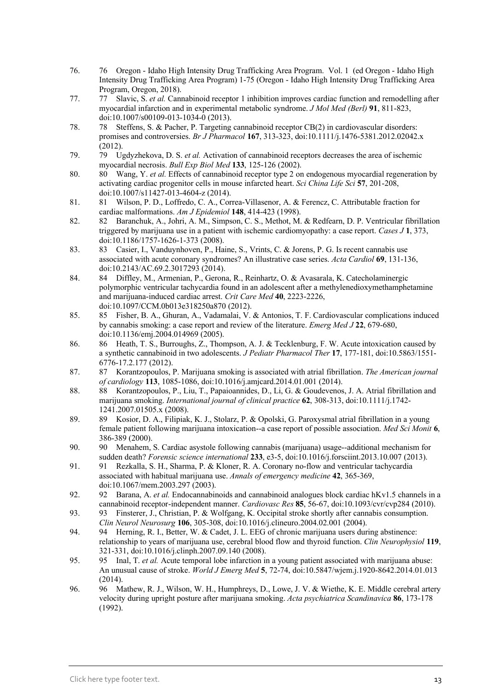- 76. 76 Oregon Idaho High Intensity Drug Trafficking Area Program. Vol. 1 (ed Oregon Idaho High Intensity Drug Trafficking Area Program) 1-75 (Oregon - Idaho High Intensity Drug Trafficking Area Program, Oregon, 2018).
- 77. 77 Slavic, S. *et al.* Cannabinoid receptor 1 inhibition improves cardiac function and remodelling after myocardial infarction and in experimental metabolic syndrome. *J Mol Med (Berl)* **91**, 811-823, doi:10.1007/s00109-013-1034-0 (2013).
- 78. 78 Steffens, S. & Pacher, P. Targeting cannabinoid receptor CB(2) in cardiovascular disorders: promises and controversies. *Br J Pharmacol* **167**, 313-323, doi:10.1111/j.1476-5381.2012.02042.x (2012).
- 79. 79 Ugdyzhekova, D. S. *et al.* Activation of cannabinoid receptors decreases the area of ischemic myocardial necrosis. *Bull Exp Biol Med* **133**, 125-126 (2002).
- 80. 80 Wang, Y. *et al.* Effects of cannabinoid receptor type 2 on endogenous myocardial regeneration by activating cardiac progenitor cells in mouse infarcted heart. *Sci China Life Sci* **57**, 201-208, doi:10.1007/s11427-013-4604-z (2014).
- 81. 81 Wilson, P. D., Loffredo, C. A., Correa-Villasenor, A. & Ferencz, C. Attributable fraction for cardiac malformations. *Am J Epidemiol* **148**, 414-423 (1998).
- 82. 82 Baranchuk, A., Johri, A. M., Simpson, C. S., Methot, M. & Redfearn, D. P. Ventricular fibrillation triggered by marijuana use in a patient with ischemic cardiomyopathy: a case report. *Cases J* **1**, 373, doi:10.1186/1757-1626-1-373 (2008).
- 83. 83 Casier, I., Vanduynhoven, P., Haine, S., Vrints, C. & Jorens, P. G. Is recent cannabis use associated with acute coronary syndromes? An illustrative case series. *Acta Cardiol* **69**, 131-136, doi:10.2143/AC.69.2.3017293 (2014).
- 84. 84 Diffley, M., Armenian, P., Gerona, R., Reinhartz, O. & Avasarala, K. Catecholaminergic polymorphic ventricular tachycardia found in an adolescent after a methylenedioxymethamphetamine and marijuana-induced cardiac arrest. *Crit Care Med* **40**, 2223-2226, doi:10.1097/CCM.0b013e318250a870 (2012).
- 85. 85 Fisher, B. A., Ghuran, A., Vadamalai, V. & Antonios, T. F. Cardiovascular complications induced by cannabis smoking: a case report and review of the literature. *Emerg Med J* **22**, 679-680, doi:10.1136/emj.2004.014969 (2005).
- 86. 86 Heath, T. S., Burroughs, Z., Thompson, A. J. & Tecklenburg, F. W. Acute intoxication caused by a synthetic cannabinoid in two adolescents. *J Pediatr Pharmacol Ther* **17**, 177-181, doi:10.5863/1551- 6776-17.2.177 (2012).
- 87. 87 Korantzopoulos, P. Marijuana smoking is associated with atrial fibrillation. *The American journal of cardiology* **113**, 1085-1086, doi:10.1016/j.amjcard.2014.01.001 (2014).
- 88. 88 Korantzopoulos, P., Liu, T., Papaioannides, D., Li, G. & Goudevenos, J. A. Atrial fibrillation and marijuana smoking. *International journal of clinical practice* **62**, 308-313, doi:10.1111/j.1742- 1241.2007.01505.x (2008).
- 89. 89 Kosior, D. A., Filipiak, K. J., Stolarz, P. & Opolski, G. Paroxysmal atrial fibrillation in a young female patient following marijuana intoxication--a case report of possible association. *Med Sci Monit* **6**, 386-389 (2000).
- 90. 90 Menahem, S. Cardiac asystole following cannabis (marijuana) usage--additional mechanism for sudden death? *Forensic science international* **233**, e3-5, doi:10.1016/j.forsciint.2013.10.007 (2013).
- 91. 91 Rezkalla, S. H., Sharma, P. & Kloner, R. A. Coronary no-flow and ventricular tachycardia associated with habitual marijuana use. *Annals of emergency medicine* **42**, 365-369, doi:10.1067/mem.2003.297 (2003).
- 92. 92 Barana, A. *et al.* Endocannabinoids and cannabinoid analogues block cardiac hKv1.5 channels in a cannabinoid receptor-independent manner. *Cardiovasc Res* **85**, 56-67, doi:10.1093/cvr/cvp284 (2010).
- 93. 93 Finsterer, J., Christian, P. & Wolfgang, K. Occipital stroke shortly after cannabis consumption. *Clin Neurol Neurosurg* **106**, 305-308, doi:10.1016/j.clineuro.2004.02.001 (2004).
- 94. 94 Herning, R. I., Better, W. & Cadet, J. L. EEG of chronic marijuana users during abstinence: relationship to years of marijuana use, cerebral blood flow and thyroid function. *Clin Neurophysiol* **119**, 321-331, doi:10.1016/j.clinph.2007.09.140 (2008).
- 95. 95 Inal, T. *et al.* Acute temporal lobe infarction in a young patient associated with marijuana abuse: An unusual cause of stroke. *World J Emerg Med* **5**, 72-74, doi:10.5847/wjem.j.1920-8642.2014.01.013 (2014).
- 96. 96 Mathew, R. J., Wilson, W. H., Humphreys, D., Lowe, J. V. & Wiethe, K. E. Middle cerebral artery velocity during upright posture after marijuana smoking. *Acta psychiatrica Scandinavica* **86**, 173-178 (1992).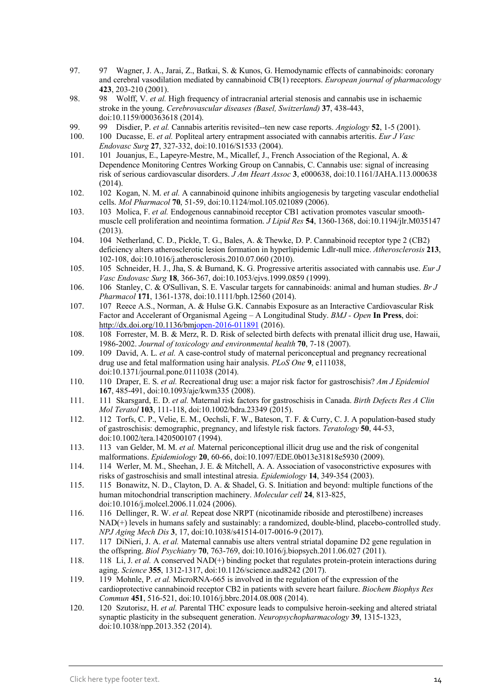- 97. 97 Wagner, J. A., Jarai, Z., Batkai, S. & Kunos, G. Hemodynamic effects of cannabinoids: coronary and cerebral vasodilation mediated by cannabinoid CB(1) receptors. *European journal of pharmacology* **423**, 203-210 (2001).
- 98. 98 Wolff, V. *et al.* High frequency of intracranial arterial stenosis and cannabis use in ischaemic stroke in the young. *Cerebrovascular diseases (Basel, Switzerland)* **37**, 438-443, doi:10.1159/000363618 (2014).
- 99. 99 Disdier, P. *et al.* Cannabis arteritis revisited--ten new case reports. *Angiology* **52**, 1-5 (2001).
- 100. 100 Ducasse, E. *et al.* Popliteal artery entrapment associated with cannabis arteritis. *Eur J Vasc Endovasc Surg* **27**, 327-332, doi:10.1016/S1533 (2004).
- 101. 101 Jouanjus, E., Lapeyre-Mestre, M., Micallef, J., French Association of the Regional, A. & Dependence Monitoring Centres Working Group on Cannabis, C. Cannabis use: signal of increasing risk of serious cardiovascular disorders. *J Am Heart Assoc* **3**, e000638, doi:10.1161/JAHA.113.000638 (2014).
- 102. 102 Kogan, N. M. *et al.* A cannabinoid quinone inhibits angiogenesis by targeting vascular endothelial cells. *Mol Pharmacol* **70**, 51-59, doi:10.1124/mol.105.021089 (2006).
- 103. 103 Molica, F. *et al.* Endogenous cannabinoid receptor CB1 activation promotes vascular smoothmuscle cell proliferation and neointima formation. *J Lipid Res* **54**, 1360-1368, doi:10.1194/jlr.M035147 (2013).
- 104. 104 Netherland, C. D., Pickle, T. G., Bales, A. & Thewke, D. P. Cannabinoid receptor type 2 (CB2) deficiency alters atherosclerotic lesion formation in hyperlipidemic Ldlr-null mice. *Atherosclerosis* **213**, 102-108, doi:10.1016/j.atherosclerosis.2010.07.060 (2010).
- 105. 105 Schneider, H. J., Jha, S. & Burnand, K. G. Progressive arteritis associated with cannabis use. *Eur J Vasc Endovasc Surg* **18**, 366-367, doi:10.1053/ejvs.1999.0859 (1999).
- 106. 106 Stanley, C. & O'Sullivan, S. E. Vascular targets for cannabinoids: animal and human studies. *Br J Pharmacol* **171**, 1361-1378, doi:10.1111/bph.12560 (2014).
- 107. 107 Reece A.S., Norman, A. & Hulse G.K. Cannabis Exposure as an Interactive Cardiovascular Risk Factor and Accelerant of Organismal Ageing – A Longitudinal Study. *BMJ - Open* **In Press**, doi: <http://dx.doi.org/10.1136/bmjopen-2016-011891> (2016).
- 108. 108 Forrester, M. B. & Merz, R. D. Risk of selected birth defects with prenatal illicit drug use, Hawaii, 1986-2002. *Journal of toxicology and environmental health* **70**, 7-18 (2007).
- 109. 109 David, A. L. *et al.* A case-control study of maternal periconceptual and pregnancy recreational drug use and fetal malformation using hair analysis. *PLoS One* **9**, e111038, doi:10.1371/journal.pone.0111038 (2014).
- 110. 110 Draper, E. S. *et al.* Recreational drug use: a major risk factor for gastroschisis? *Am J Epidemiol* **167**, 485-491, doi:10.1093/aje/kwm335 (2008).
- 111. 111 Skarsgard, E. D. *et al.* Maternal risk factors for gastroschisis in Canada. *Birth Defects Res A Clin Mol Teratol* **103**, 111-118, doi:10.1002/bdra.23349 (2015).
- 112. 112 Torfs, C. P., Velie, E. M., Oechsli, F. W., Bateson, T. F. & Curry, C. J. A population-based study of gastroschisis: demographic, pregnancy, and lifestyle risk factors. *Teratology* **50**, 44-53, doi:10.1002/tera.1420500107 (1994).
- 113. 113 van Gelder, M. M. *et al.* Maternal periconceptional illicit drug use and the risk of congenital malformations. *Epidemiology* **20**, 60-66, doi:10.1097/EDE.0b013e31818e5930 (2009).
- 114. 114 Werler, M. M., Sheehan, J. E. & Mitchell, A. A. Association of vasoconstrictive exposures with risks of gastroschisis and small intestinal atresia. *Epidemiology* **14**, 349-354 (2003).
- 115. 115 Bonawitz, N. D., Clayton, D. A. & Shadel, G. S. Initiation and beyond: multiple functions of the human mitochondrial transcription machinery. *Molecular cell* **24**, 813-825, doi:10.1016/j.molcel.2006.11.024 (2006).
- 116. 116 Dellinger, R. W. *et al.* Repeat dose NRPT (nicotinamide riboside and pterostilbene) increases NAD(+) levels in humans safely and sustainably: a randomized, double-blind, placebo-controlled study. *NPJ Aging Mech Dis* **3**, 17, doi:10.1038/s41514-017-0016-9 (2017).
- 117. 117 DiNieri, J. A. *et al.* Maternal cannabis use alters ventral striatal dopamine D2 gene regulation in the offspring. *Biol Psychiatry* **70**, 763-769, doi:10.1016/j.biopsych.2011.06.027 (2011).
- 118. 118 Li, J. *et al.* A conserved NAD(+) binding pocket that regulates protein-protein interactions during aging. *Science* **355**, 1312-1317, doi:10.1126/science.aad8242 (2017).
- 119. 119 Mohnle, P. *et al.* MicroRNA-665 is involved in the regulation of the expression of the cardioprotective cannabinoid receptor CB2 in patients with severe heart failure. *Biochem Biophys Res Commun* **451**, 516-521, doi:10.1016/j.bbrc.2014.08.008 (2014).
- 120. 120 Szutorisz, H. *et al.* Parental THC exposure leads to compulsive heroin-seeking and altered striatal synaptic plasticity in the subsequent generation. *Neuropsychopharmacology* **39**, 1315-1323, doi:10.1038/npp.2013.352 (2014).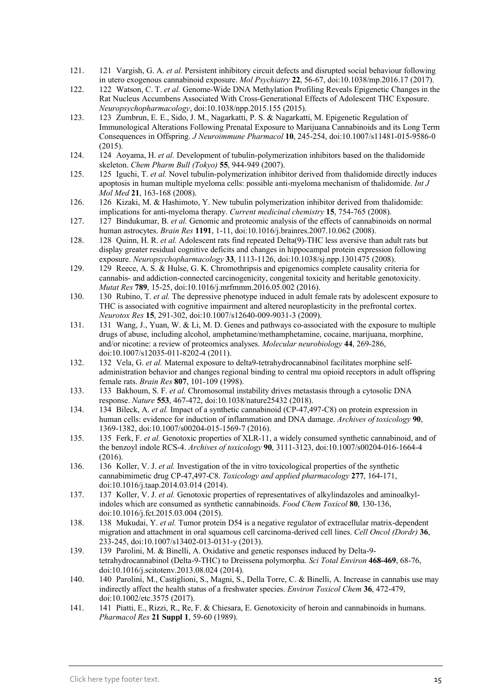- 121. 121 Vargish, G. A. *et al.* Persistent inhibitory circuit defects and disrupted social behaviour following in utero exogenous cannabinoid exposure. *Mol Psychiatry* **22**, 56-67, doi:10.1038/mp.2016.17 (2017).
- 122. 122 Watson, C. T. *et al.* Genome-Wide DNA Methylation Profiling Reveals Epigenetic Changes in the Rat Nucleus Accumbens Associated With Cross-Generational Effects of Adolescent THC Exposure. *Neuropsychopharmacology*, doi:10.1038/npp.2015.155 (2015).
- 123. 123 Zumbrun, E. E., Sido, J. M., Nagarkatti, P. S. & Nagarkatti, M. Epigenetic Regulation of Immunological Alterations Following Prenatal Exposure to Marijuana Cannabinoids and its Long Term Consequences in Offspring. *J Neuroimmune Pharmacol* **10**, 245-254, doi:10.1007/s11481-015-9586-0 (2015).
- 124. 124 Aoyama, H. *et al.* Development of tubulin-polymerization inhibitors based on the thalidomide skeleton. *Chem Pharm Bull (Tokyo)* **55**, 944-949 (2007).
- 125. 125 Iguchi, T. *et al.* Novel tubulin-polymerization inhibitor derived from thalidomide directly induces apoptosis in human multiple myeloma cells: possible anti-myeloma mechanism of thalidomide. *Int J Mol Med* **21**, 163-168 (2008).
- 126. 126 Kizaki, M. & Hashimoto, Y. New tubulin polymerization inhibitor derived from thalidomide: implications for anti-myeloma therapy. *Current medicinal chemistry* **15**, 754-765 (2008).
- 127. 127 Bindukumar, B. *et al.* Genomic and proteomic analysis of the effects of cannabinoids on normal human astrocytes. *Brain Res* **1191**, 1-11, doi:10.1016/j.brainres.2007.10.062 (2008).
- 128. 128 Quinn, H. R. *et al.* Adolescent rats find repeated Delta(9)-THC less aversive than adult rats but display greater residual cognitive deficits and changes in hippocampal protein expression following exposure. *Neuropsychopharmacology* **33**, 1113-1126, doi:10.1038/sj.npp.1301475 (2008).
- 129. 129 Reece, A. S. & Hulse, G. K. Chromothripsis and epigenomics complete causality criteria for cannabis- and addiction-connected carcinogenicity, congenital toxicity and heritable genotoxicity. *Mutat Res* **789**, 15-25, doi:10.1016/j.mrfmmm.2016.05.002 (2016).
- 130. 130 Rubino, T. *et al.* The depressive phenotype induced in adult female rats by adolescent exposure to THC is associated with cognitive impairment and altered neuroplasticity in the prefrontal cortex. *Neurotox Res* **15**, 291-302, doi:10.1007/s12640-009-9031-3 (2009).
- 131. 131 Wang, J., Yuan, W. & Li, M. D. Genes and pathways co-associated with the exposure to multiple drugs of abuse, including alcohol, amphetamine/methamphetamine, cocaine, marijuana, morphine, and/or nicotine: a review of proteomics analyses. *Molecular neurobiology* **44**, 269-286, doi:10.1007/s12035-011-8202-4 (2011).
- 132. 132 Vela, G. *et al.* Maternal exposure to delta9-tetrahydrocannabinol facilitates morphine selfadministration behavior and changes regional binding to central mu opioid receptors in adult offspring female rats. *Brain Res* **807**, 101-109 (1998).
- 133. 133 Bakhoum, S. F. *et al.* Chromosomal instability drives metastasis through a cytosolic DNA response. *Nature* **553**, 467-472, doi:10.1038/nature25432 (2018).
- 134. 134 Bileck, A. *et al.* Impact of a synthetic cannabinoid (CP-47,497-C8) on protein expression in human cells: evidence for induction of inflammation and DNA damage. *Archives of toxicology* **90**, 1369-1382, doi:10.1007/s00204-015-1569-7 (2016).
- 135. 135 Ferk, F. *et al.* Genotoxic properties of XLR-11, a widely consumed synthetic cannabinoid, and of the benzoyl indole RCS-4. *Archives of toxicology* **90**, 3111-3123, doi:10.1007/s00204-016-1664-4 (2016).
- 136. 136 Koller, V. J. *et al.* Investigation of the in vitro toxicological properties of the synthetic cannabimimetic drug CP-47,497-C8. *Toxicology and applied pharmacology* **277**, 164-171, doi:10.1016/j.taap.2014.03.014 (2014).
- 137. 137 Koller, V. J. *et al.* Genotoxic properties of representatives of alkylindazoles and aminoalkylindoles which are consumed as synthetic cannabinoids. *Food Chem Toxicol* **80**, 130-136, doi:10.1016/j.fct.2015.03.004 (2015).
- 138. 138 Mukudai, Y. *et al.* Tumor protein D54 is a negative regulator of extracellular matrix-dependent migration and attachment in oral squamous cell carcinoma-derived cell lines. *Cell Oncol (Dordr)* **36**, 233-245, doi:10.1007/s13402-013-0131-y (2013).
- 139. 139 Parolini, M. & Binelli, A. Oxidative and genetic responses induced by Delta-9 tetrahydrocannabinol (Delta-9-THC) to Dreissena polymorpha. *Sci Total Environ* **468-469**, 68-76, doi:10.1016/j.scitotenv.2013.08.024 (2014).
- 140. 140 Parolini, M., Castiglioni, S., Magni, S., Della Torre, C. & Binelli, A. Increase in cannabis use may indirectly affect the health status of a freshwater species. *Environ Toxicol Chem* **36**, 472-479, doi:10.1002/etc.3575 (2017).
- 141. 141 Piatti, E., Rizzi, R., Re, F. & Chiesara, E. Genotoxicity of heroin and cannabinoids in humans. *Pharmacol Res* **21 Suppl 1**, 59-60 (1989).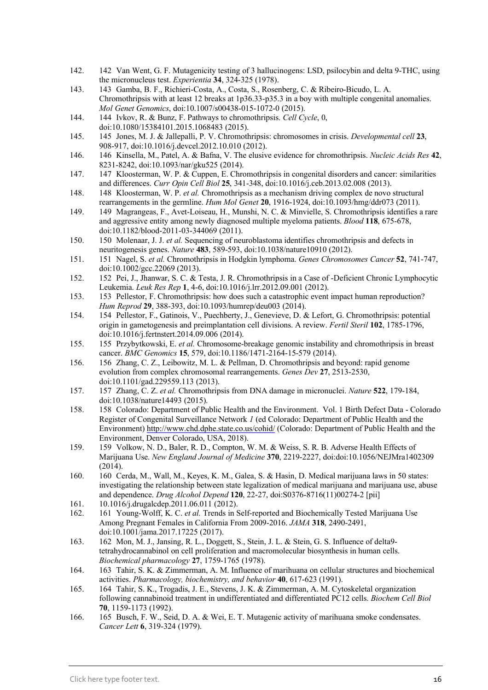- 142. 142 Van Went, G. F. Mutagenicity testing of 3 hallucinogens: LSD, psilocybin and delta 9-THC, using the micronucleus test. *Experientia* **34**, 324-325 (1978).
- 143. 143 Gamba, B. F., Richieri-Costa, A., Costa, S., Rosenberg, C. & Ribeiro-Bicudo, L. A. Chromothripsis with at least 12 breaks at 1p36.33-p35.3 in a boy with multiple congenital anomalies. *Mol Genet Genomics*, doi:10.1007/s00438-015-1072-0 (2015).
- 144. 144 Ivkov, R. & Bunz, F. Pathways to chromothripsis. *Cell Cycle*, 0, doi:10.1080/15384101.2015.1068483 (2015).
- 145. 145 Jones, M. J. & Jallepalli, P. V. Chromothripsis: chromosomes in crisis. *Developmental cell* **23**, 908-917, doi:10.1016/j.devcel.2012.10.010 (2012).
- 146. 146 Kinsella, M., Patel, A. & Bafna, V. The elusive evidence for chromothripsis. *Nucleic Acids Res* **42**, 8231-8242, doi:10.1093/nar/gku525 (2014).
- 147. 147 Kloosterman, W. P. & Cuppen, E. Chromothripsis in congenital disorders and cancer: similarities and differences. *Curr Opin Cell Biol* **25**, 341-348, doi:10.1016/j.ceb.2013.02.008 (2013).
- 148. 148 Kloosterman, W. P. *et al.* Chromothripsis as a mechanism driving complex de novo structural rearrangements in the germline. *Hum Mol Genet* **20**, 1916-1924, doi:10.1093/hmg/ddr073 (2011).
- 149. 149 Magrangeas, F., Avet-Loiseau, H., Munshi, N. C. & Minvielle, S. Chromothripsis identifies a rare and aggressive entity among newly diagnosed multiple myeloma patients. *Blood* **118**, 675-678, doi:10.1182/blood-2011-03-344069 (2011).
- 150. 150 Molenaar, J. J. *et al.* Sequencing of neuroblastoma identifies chromothripsis and defects in neuritogenesis genes. *Nature* **483**, 589-593, doi:10.1038/nature10910 (2012).
- 151. 151 Nagel, S. *et al.* Chromothripsis in Hodgkin lymphoma. *Genes Chromosomes Cancer* **52**, 741-747, doi:10.1002/gcc.22069 (2013).
- 152. 152 Pei, J., Jhanwar, S. C. & Testa, J. R. Chromothripsis in a Case of -Deficient Chronic Lymphocytic Leukemia. *Leuk Res Rep* **1**, 4-6, doi:10.1016/j.lrr.2012.09.001 (2012).
- 153. 153 Pellestor, F. Chromothripsis: how does such a catastrophic event impact human reproduction? *Hum Reprod* **29**, 388-393, doi:10.1093/humrep/deu003 (2014).
- 154. 154 Pellestor, F., Gatinois, V., Puechberty, J., Genevieve, D. & Lefort, G. Chromothripsis: potential origin in gametogenesis and preimplantation cell divisions. A review. *Fertil Steril* **102**, 1785-1796, doi:10.1016/j.fertnstert.2014.09.006 (2014).
- 155. 155 Przybytkowski, E. *et al.* Chromosome-breakage genomic instability and chromothripsis in breast cancer. *BMC Genomics* **15**, 579, doi:10.1186/1471-2164-15-579 (2014).
- 156. 156 Zhang, C. Z., Leibowitz, M. L. & Pellman, D. Chromothripsis and beyond: rapid genome evolution from complex chromosomal rearrangements. *Genes Dev* **27**, 2513-2530, doi:10.1101/gad.229559.113 (2013).
- 157. 157 Zhang, C. Z. *et al.* Chromothripsis from DNA damage in micronuclei. *Nature* **522**, 179-184, doi:10.1038/nature14493 (2015).
- 158. 158 Colorado: Department of Public Health and the Environment. Vol. 1 Birth Defect Data Colorado Register of Congenital Surveillance Network *1* (ed Colorado: Department of Public Health and the Environment)<http://www.chd.dphe.state.co.us/cohid/> (Colorado: Department of Public Health and the Environment, Denver Colorado, USA, 2018).
- 159. 159 Volkow, N. D., Baler, R. D., Compton, W. M. & Weiss, S. R. B. Adverse Health Effects of Marijuana Use. *New England Journal of Medicine* **370**, 2219-2227, doi:doi:10.1056/NEJMra1402309 (2014).
- 160. 160 Cerda, M., Wall, M., Keyes, K. M., Galea, S. & Hasin, D. Medical marijuana laws in 50 states: investigating the relationship between state legalization of medical marijuana and marijuana use, abuse and dependence. *Drug Alcohol Depend* **120**, 22-27, doi:S0376-8716(11)00274-2 [pii]
- 161. 10.1016/j.drugalcdep.2011.06.011 (2012).
- 162. 161 Young-Wolff, K. C. *et al.* Trends in Self-reported and Biochemically Tested Marijuana Use Among Pregnant Females in California From 2009-2016. *JAMA* **318**, 2490-2491, doi:10.1001/jama.2017.17225 (2017).
- 163. 162 Mon, M. J., Jansing, R. L., Doggett, S., Stein, J. L. & Stein, G. S. Influence of delta9 tetrahydrocannabinol on cell proliferation and macromolecular biosynthesis in human cells. *Biochemical pharmacology* **27**, 1759-1765 (1978).
- 164. 163 Tahir, S. K. & Zimmerman, A. M. Influence of marihuana on cellular structures and biochemical activities. *Pharmacology, biochemistry, and behavior* **40**, 617-623 (1991).
- 165. 164 Tahir, S. K., Trogadis, J. E., Stevens, J. K. & Zimmerman, A. M. Cytoskeletal organization following cannabinoid treatment in undifferentiated and differentiated PC12 cells. *Biochem Cell Biol* **70**, 1159-1173 (1992).
- 166. 165 Busch, F. W., Seid, D. A. & Wei, E. T. Mutagenic activity of marihuana smoke condensates. *Cancer Lett* **6**, 319-324 (1979).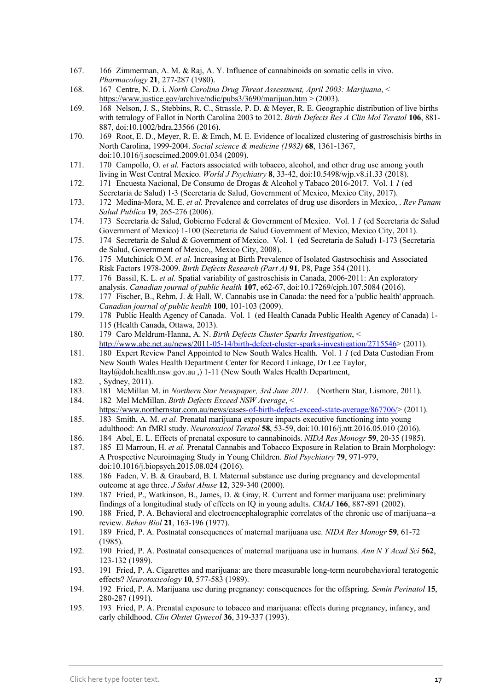- 167. 166 Zimmerman, A. M. & Raj, A. Y. Influence of cannabinoids on somatic cells in vivo. *Pharmacology* **21**, 277-287 (1980).
- 168. 167 Centre, N. D. i. *North Carolina Drug Threat Assessment, April 2003: Marijuana*, < <https://www.justice.gov/archive/ndic/pubs3/3690/marijuan.htm>  $>$  (2003).
- 169. 168 Nelson, J. S., Stebbins, R. C., Strassle, P. D. & Meyer, R. E. Geographic distribution of live births with tetralogy of Fallot in North Carolina 2003 to 2012. *Birth Defects Res A Clin Mol Teratol* **106**, 881- 887, doi:10.1002/bdra.23566 (2016).
- 170. 169 Root, E. D., Meyer, R. E. & Emch, M. E. Evidence of localized clustering of gastroschisis births in North Carolina, 1999-2004. *Social science & medicine (1982)* **68**, 1361-1367, doi:10.1016/j.socscimed.2009.01.034 (2009).
- 171. 170 Campollo, O. *et al.* Factors associated with tobacco, alcohol, and other drug use among youth living in West Central Mexico. *World J Psychiatry* **8**, 33-42, doi:10.5498/wjp.v8.i1.33 (2018).
- 172. 171 Encuesta Nacional, De Consumo de Drogas & Alcohol y Tabaco 2016-2017. Vol. 1 *1* (ed Secretaria de Salud) 1-3 (Secretaria de Salud, Government of Mexico, Mexico City, 2017).
- 173. 172 Medina-Mora, M. E. *et al.* Prevalence and correlates of drug use disorders in Mexico, . *Rev Panam Salud Publica* **19**, 265-276 (2006).
- 174. 173 Secretaria de Salud, Gobierno Federal & Government of Mexico. Vol. 1 *1* (ed Secretaria de Salud Government of Mexico) 1-100 (Secretaria de Salud Government of Mexico, Mexico City, 2011).
- 175. 174 Secretaria de Salud & Government of Mexico. Vol. 1 (ed Secretaria de Salud) 1-173 (Secretaria de Salud, Government of Mexico,, Mexico City, 2008).
- 176. 175 Mutchinick O.M. *et al.* Increasing at Birth Prevalence of Isolated Gastrsochisis and Associated Risk Factors 1978-2009. *Birth Defects Research (Part A)* **91**, P8, Page 354 (2011).
- 177. 176 Bassil, K. L. *et al.* Spatial variability of gastroschisis in Canada, 2006-2011: An exploratory analysis. *Canadian journal of public health* **107**, e62-67, doi:10.17269/cjph.107.5084 (2016).
- 178. 177 Fischer, B., Rehm, J. & Hall, W. Cannabis use in Canada: the need for a 'public health' approach. *Canadian journal of public health* **100**, 101-103 (2009).
- 179. 178 Public Health Agency of Canada. Vol. 1 (ed Health Canada Public Health Agency of Canada) 1- 115 (Health Canada, Ottawa, 2013).
- 180. 179 Caro Meldrum-Hanna, A. N. *Birth Defects Cluster Sparks Investigation*, < [http://www.abc.net.au/news/2011-05-14/birth-defect-cluster-sparks-investigation/2715546>](http://www.abc.net.au/news/2011-05-14/birth-defect-cluster-sparks-investigation/2715546) (2011).
- 181. 180 Expert Review Panel Appointed to New South Wales Health. Vol. 1 *1* (ed Data Custodian From New South Wales Health Department Center for Record Linkage, Dr Lee Taylor, ltayl@doh.health.nsw.gov.au ,) 1-11 (New South Wales Health Department,
- 182. , Sydney, 2011).
- 183. 181 McMillan M. in *Northern Star Newspaper, 3rd June 2011*. (Northern Star, Lismore, 2011).<br>184. 182 Mel McMillan. *Birth Defects Exceed NSW Average.* <
- 184. 182 Mel McMillan. *Birth Defects Exceed NSW Average*, < [https://www.northernstar.com.au/news/cases-of-birth-defect-exceed-state-average/867706/>](https://www.northernstar.com.au/news/cases-of-birth-defect-exceed-state-average/867706/) (2011).
- 185. 183 Smith, A. M. *et al.* Prenatal marijuana exposure impacts executive functioning into young adulthood: An fMRI study. *Neurotoxicol Teratol* **58**, 53-59, doi:10.1016/j.ntt.2016.05.010 (2016).
- 186. 184 Abel, E. L. Effects of prenatal exposure to cannabinoids. *NIDA Res Monogr* **59**, 20-35 (1985).
- 187. 185 El Marroun, H. *et al.* Prenatal Cannabis and Tobacco Exposure in Relation to Brain Morphology: A Prospective Neuroimaging Study in Young Children. *Biol Psychiatry* **79**, 971-979, doi:10.1016/j.biopsych.2015.08.024 (2016).
- 188. 186 Faden, V. B. & Graubard, B. I. Maternal substance use during pregnancy and developmental outcome at age three. *J Subst Abuse* **12**, 329-340 (2000).
- 189. 187 Fried, P., Watkinson, B., James, D. & Gray, R. Current and former marijuana use: preliminary findings of a longitudinal study of effects on IQ in young adults. *CMAJ* **166**, 887-891 (2002).
- 190. 188 Fried, P. A. Behavioral and electroencephalographic correlates of the chronic use of marijuana--a review. *Behav Biol* **21**, 163-196 (1977).
- 191. 189 Fried, P. A. Postnatal consequences of maternal marijuana use. *NIDA Res Monogr* **59**, 61-72 (1985).
- 192. 190 Fried, P. A. Postnatal consequences of maternal marijuana use in humans. *Ann N Y Acad Sci* **562**, 123-132 (1989).
- 193. 191 Fried, P. A. Cigarettes and marijuana: are there measurable long-term neurobehavioral teratogenic effects? *Neurotoxicology* **10**, 577-583 (1989).
- 194. 192 Fried, P. A. Marijuana use during pregnancy: consequences for the offspring. *Semin Perinatol* **15**, 280-287 (1991).
- 195. 193 Fried, P. A. Prenatal exposure to tobacco and marijuana: effects during pregnancy, infancy, and early childhood. *Clin Obstet Gynecol* **36**, 319-337 (1993).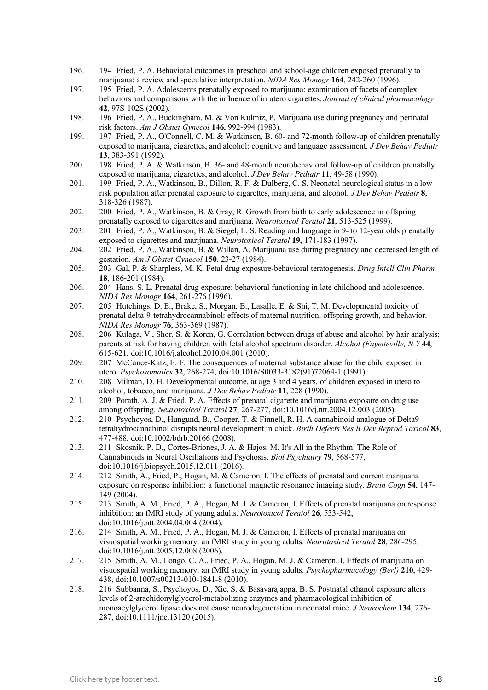- 196. 194 Fried, P. A. Behavioral outcomes in preschool and school-age children exposed prenatally to marijuana: a review and speculative interpretation. *NIDA Res Monogr* **164**, 242-260 (1996).
- 197. 195 Fried, P. A. Adolescents prenatally exposed to marijuana: examination of facets of complex behaviors and comparisons with the influence of in utero cigarettes. *Journal of clinical pharmacology* **42**, 97S-102S (2002).
- 198. 196 Fried, P. A., Buckingham, M. & Von Kulmiz, P. Marijuana use during pregnancy and perinatal risk factors. *Am J Obstet Gynecol* **146**, 992-994 (1983).
- 199. 197 Fried, P. A., O'Connell, C. M. & Watkinson, B. 60- and 72-month follow-up of children prenatally exposed to marijuana, cigarettes, and alcohol: cognitive and language assessment. *J Dev Behav Pediatr* **13**, 383-391 (1992).
- 200. 198 Fried, P. A. & Watkinson, B. 36- and 48-month neurobehavioral follow-up of children prenatally exposed to marijuana, cigarettes, and alcohol. *J Dev Behav Pediatr* **11**, 49-58 (1990).
- 201. 199 Fried, P. A., Watkinson, B., Dillon, R. F. & Dulberg, C. S. Neonatal neurological status in a lowrisk population after prenatal exposure to cigarettes, marijuana, and alcohol. *J Dev Behav Pediatr* **8**, 318-326 (1987).
- 202. 200 Fried, P. A., Watkinson, B. & Gray, R. Growth from birth to early adolescence in offspring prenatally exposed to cigarettes and marijuana. *Neurotoxicol Teratol* **21**, 513-525 (1999).
- 203. 201 Fried, P. A., Watkinson, B. & Siegel, L. S. Reading and language in 9- to 12-year olds prenatally exposed to cigarettes and marijuana. *Neurotoxicol Teratol* **19**, 171-183 (1997).
- 204. 202 Fried, P. A., Watkinson, B. & Willan, A. Marijuana use during pregnancy and decreased length of gestation. *Am J Obstet Gynecol* **150**, 23-27 (1984).
- 205. 203 Gal, P. & Sharpless, M. K. Fetal drug exposure-behavioral teratogenesis. *Drug Intell Clin Pharm* **18**, 186-201 (1984).
- 206. 204 Hans, S. L. Prenatal drug exposure: behavioral functioning in late childhood and adolescence. *NIDA Res Monogr* **164**, 261-276 (1996).
- 207. 205 Hutchings, D. E., Brake, S., Morgan, B., Lasalle, E. & Shi, T. M. Developmental toxicity of prenatal delta-9-tetrahydrocannabinol: effects of maternal nutrition, offspring growth, and behavior. *NIDA Res Monogr* **76**, 363-369 (1987).
- 208. 206 Kulaga, V., Shor, S. & Koren, G. Correlation between drugs of abuse and alcohol by hair analysis: parents at risk for having children with fetal alcohol spectrum disorder. *Alcohol (Fayetteville, N.Y* **44**, 615-621, doi:10.1016/j.alcohol.2010.04.001 (2010).
- 209. 207 McCance-Katz, E. F. The consequences of maternal substance abuse for the child exposed in utero. *Psychosomatics* **32**, 268-274, doi:10.1016/S0033-3182(91)72064-1 (1991).
- 210. 208 Milman, D. H. Developmental outcome, at age 3 and 4 years, of children exposed in utero to alcohol, tobacco, and marijuana. *J Dev Behav Pediatr* **11**, 228 (1990).
- 211. 209 Porath, A. J. & Fried, P. A. Effects of prenatal cigarette and marijuana exposure on drug use among offspring. *Neurotoxicol Teratol* **27**, 267-277, doi:10.1016/j.ntt.2004.12.003 (2005).
- 212. 210 Psychoyos, D., Hungund, B., Cooper, T. & Finnell, R. H. A cannabinoid analogue of Delta9 tetrahydrocannabinol disrupts neural development in chick. *Birth Defects Res B Dev Reprod Toxicol* **83**, 477-488, doi:10.1002/bdrb.20166 (2008).
- 213. 211 Skosnik, P. D., Cortes-Briones, J. A. & Hajos, M. It's All in the Rhythm: The Role of Cannabinoids in Neural Oscillations and Psychosis. *Biol Psychiatry* **79**, 568-577, doi:10.1016/j.biopsych.2015.12.011 (2016).
- 214. 212 Smith, A., Fried, P., Hogan, M. & Cameron, I. The effects of prenatal and current marijuana exposure on response inhibition: a functional magnetic resonance imaging study. *Brain Cogn* **54**, 147- 149 (2004).
- 215. 213 Smith, A. M., Fried, P. A., Hogan, M. J. & Cameron, I. Effects of prenatal marijuana on response inhibition: an fMRI study of young adults. *Neurotoxicol Teratol* **26**, 533-542, doi:10.1016/j.ntt.2004.04.004 (2004).
- 216. 214 Smith, A. M., Fried, P. A., Hogan, M. J. & Cameron, I. Effects of prenatal marijuana on visuospatial working memory: an fMRI study in young adults. *Neurotoxicol Teratol* **28**, 286-295, doi:10.1016/j.ntt.2005.12.008 (2006).
- 217. 215 Smith, A. M., Longo, C. A., Fried, P. A., Hogan, M. J. & Cameron, I. Effects of marijuana on visuospatial working memory: an fMRI study in young adults. *Psychopharmacology (Berl)* **210**, 429- 438, doi:10.1007/s00213-010-1841-8 (2010).
- 218. 216 Subbanna, S., Psychoyos, D., Xie, S. & Basavarajappa, B. S. Postnatal ethanol exposure alters levels of 2-arachidonylglycerol-metabolizing enzymes and pharmacological inhibition of monoacylglycerol lipase does not cause neurodegeneration in neonatal mice. *J Neurochem* **134**, 276- 287, doi:10.1111/jnc.13120 (2015).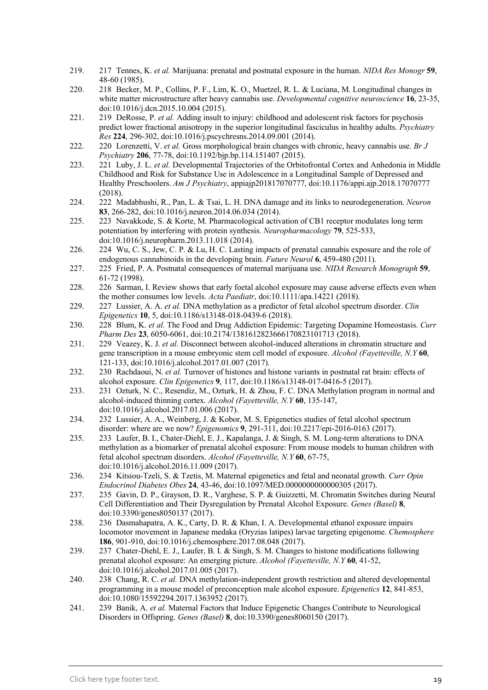- 219. 217 Tennes, K. *et al.* Marijuana: prenatal and postnatal exposure in the human. *NIDA Res Monogr* **59**, 48-60 (1985).
- 220. 218 Becker, M. P., Collins, P. F., Lim, K. O., Muetzel, R. L. & Luciana, M. Longitudinal changes in white matter microstructure after heavy cannabis use. *Developmental cognitive neuroscience* **16**, 23-35, doi:10.1016/j.dcn.2015.10.004 (2015).
- 221. 219 DeRosse, P. *et al.* Adding insult to injury: childhood and adolescent risk factors for psychosis predict lower fractional anisotropy in the superior longitudinal fasciculus in healthy adults. *Psychiatry Res* **224**, 296-302, doi:10.1016/j.pscychresns.2014.09.001 (2014).
- 222. 220 Lorenzetti, V. *et al.* Gross morphological brain changes with chronic, heavy cannabis use. *Br J Psychiatry* **206**, 77-78, doi:10.1192/bjp.bp.114.151407 (2015).
- 223. 221 Luby, J. L. *et al.* Developmental Trajectories of the Orbitofrontal Cortex and Anhedonia in Middle Childhood and Risk for Substance Use in Adolescence in a Longitudinal Sample of Depressed and Healthy Preschoolers. *Am J Psychiatry*, appiajp201817070777, doi:10.1176/appi.ajp.2018.17070777 (2018).
- 224. 222 Madabhushi, R., Pan, L. & Tsai, L. H. DNA damage and its links to neurodegeneration. *Neuron* **83**, 266-282, doi:10.1016/j.neuron.2014.06.034 (2014).
- 225. 223 Navakkode, S. & Korte, M. Pharmacological activation of CB1 receptor modulates long term potentiation by interfering with protein synthesis. *Neuropharmacology* **79**, 525-533, doi:10.1016/j.neuropharm.2013.11.018 (2014).
- 226. 224 Wu, C. S., Jew, C. P. & Lu, H. C. Lasting impacts of prenatal cannabis exposure and the role of endogenous cannabinoids in the developing brain. *Future Neurol* **6**, 459-480 (2011).
- 227. 225 Fried, P. A. Postnatal consequences of maternal marijuana use. *NIDA Research Monograph* **59**, 61-72 (1998).
- 228. 226 Sarman, I. Review shows that early foetal alcohol exposure may cause adverse effects even when the mother consumes low levels. *Acta Paediatr*, doi:10.1111/apa.14221 (2018).
- 229. 227 Lussier, A. A. *et al.* DNA methylation as a predictor of fetal alcohol spectrum disorder. *Clin Epigenetics* **10**, 5, doi:10.1186/s13148-018-0439-6 (2018).
- 230. 228 Blum, K. *et al.* The Food and Drug Addiction Epidemic: Targeting Dopamine Homeostasis. *Curr Pharm Des* **23**, 6050-6061, doi:10.2174/1381612823666170823101713 (2018).
- 231. 229 Veazey, K. J. *et al.* Disconnect between alcohol-induced alterations in chromatin structure and gene transcription in a mouse embryonic stem cell model of exposure. *Alcohol (Fayetteville, N.Y* **60**, 121-133, doi:10.1016/j.alcohol.2017.01.007 (2017).
- 232. 230 Rachdaoui, N. *et al.* Turnover of histones and histone variants in postnatal rat brain: effects of alcohol exposure. *Clin Epigenetics* **9**, 117, doi:10.1186/s13148-017-0416-5 (2017).
- 233. 231 Ozturk, N. C., Resendiz, M., Ozturk, H. & Zhou, F. C. DNA Methylation program in normal and alcohol-induced thinning cortex. *Alcohol (Fayetteville, N.Y* **60**, 135-147, doi:10.1016/j.alcohol.2017.01.006 (2017).
- 234. 232 Lussier, A. A., Weinberg, J. & Kobor, M. S. Epigenetics studies of fetal alcohol spectrum disorder: where are we now? *Epigenomics* **9**, 291-311, doi:10.2217/epi-2016-0163 (2017).
- 235. 233 Laufer, B. I., Chater-Diehl, E. J., Kapalanga, J. & Singh, S. M. Long-term alterations to DNA methylation as a biomarker of prenatal alcohol exposure: From mouse models to human children with fetal alcohol spectrum disorders. *Alcohol (Fayetteville, N.Y* **60**, 67-75, doi:10.1016/j.alcohol.2016.11.009 (2017).
- 236. 234 Kitsiou-Tzeli, S. & Tzetis, M. Maternal epigenetics and fetal and neonatal growth. *Curr Opin Endocrinol Diabetes Obes* **24**, 43-46, doi:10.1097/MED.0000000000000305 (2017).
- 237. 235 Gavin, D. P., Grayson, D. R., Varghese, S. P. & Guizzetti, M. Chromatin Switches during Neural Cell Differentiation and Their Dysregulation by Prenatal Alcohol Exposure. *Genes (Basel)* **8**, doi:10.3390/genes8050137 (2017).
- 238. 236 Dasmahapatra, A. K., Carty, D. R. & Khan, I. A. Developmental ethanol exposure impairs locomotor movement in Japanese medaka (Oryzias latipes) larvae targeting epigenome. *Chemosphere* **186**, 901-910, doi:10.1016/j.chemosphere.2017.08.048 (2017).
- 239. 237 Chater-Diehl, E. J., Laufer, B. I. & Singh, S. M. Changes to histone modifications following prenatal alcohol exposure: An emerging picture. *Alcohol (Fayetteville, N.Y* **60**, 41-52, doi:10.1016/j.alcohol.2017.01.005 (2017).
- 240. 238 Chang, R. C. *et al.* DNA methylation-independent growth restriction and altered developmental programming in a mouse model of preconception male alcohol exposure. *Epigenetics* **12**, 841-853, doi:10.1080/15592294.2017.1363952 (2017).
- 241. 239 Banik, A. *et al.* Maternal Factors that Induce Epigenetic Changes Contribute to Neurological Disorders in Offspring. *Genes (Basel)* **8**, doi:10.3390/genes8060150 (2017).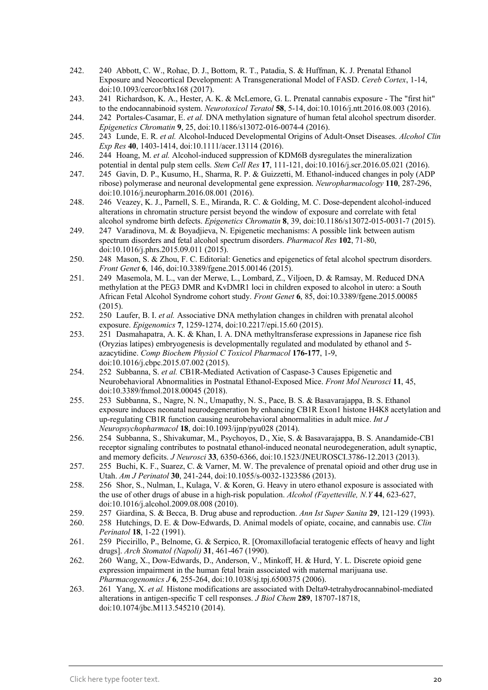- 242. 240 Abbott, C. W., Rohac, D. J., Bottom, R. T., Patadia, S. & Huffman, K. J. Prenatal Ethanol Exposure and Neocortical Development: A Transgenerational Model of FASD. *Cereb Cortex*, 1-14, doi:10.1093/cercor/bhx168 (2017).
- 243. 241 Richardson, K. A., Hester, A. K. & McLemore, G. L. Prenatal cannabis exposure The "first hit" to the endocannabinoid system. *Neurotoxicol Teratol* **58**, 5-14, doi:10.1016/j.ntt.2016.08.003 (2016).
- 244. 242 Portales-Casamar, E. *et al.* DNA methylation signature of human fetal alcohol spectrum disorder. *Epigenetics Chromatin* **9**, 25, doi:10.1186/s13072-016-0074-4 (2016).
- 245. 243 Lunde, E. R. *et al.* Alcohol-Induced Developmental Origins of Adult-Onset Diseases. *Alcohol Clin Exp Res* **40**, 1403-1414, doi:10.1111/acer.13114 (2016).
- 246. 244 Hoang, M. *et al.* Alcohol-induced suppression of KDM6B dysregulates the mineralization potential in dental pulp stem cells. *Stem Cell Res* **17**, 111-121, doi:10.1016/j.scr.2016.05.021 (2016).
- 247. 245 Gavin, D. P., Kusumo, H., Sharma, R. P. & Guizzetti, M. Ethanol-induced changes in poly (ADP ribose) polymerase and neuronal developmental gene expression. *Neuropharmacology* **110**, 287-296, doi:10.1016/j.neuropharm.2016.08.001 (2016).
- 248. 246 Veazey, K. J., Parnell, S. E., Miranda, R. C. & Golding, M. C. Dose-dependent alcohol-induced alterations in chromatin structure persist beyond the window of exposure and correlate with fetal alcohol syndrome birth defects. *Epigenetics Chromatin* **8**, 39, doi:10.1186/s13072-015-0031-7 (2015).
- 249. 247 Varadinova, M. & Boyadjieva, N. Epigenetic mechanisms: A possible link between autism spectrum disorders and fetal alcohol spectrum disorders. *Pharmacol Res* **102**, 71-80, doi:10.1016/j.phrs.2015.09.011 (2015).
- 250. 248 Mason, S. & Zhou, F. C. Editorial: Genetics and epigenetics of fetal alcohol spectrum disorders. *Front Genet* **6**, 146, doi:10.3389/fgene.2015.00146 (2015).
- 251. 249 Masemola, M. L., van der Merwe, L., Lombard, Z., Viljoen, D. & Ramsay, M. Reduced DNA methylation at the PEG3 DMR and KvDMR1 loci in children exposed to alcohol in utero: a South African Fetal Alcohol Syndrome cohort study. *Front Genet* **6**, 85, doi:10.3389/fgene.2015.00085 (2015).
- 252. 250 Laufer, B. I. *et al.* Associative DNA methylation changes in children with prenatal alcohol exposure. *Epigenomics* **7**, 1259-1274, doi:10.2217/epi.15.60 (2015).
- 253. 251 Dasmahapatra, A. K. & Khan, I. A. DNA methyltransferase expressions in Japanese rice fish (Oryzias latipes) embryogenesis is developmentally regulated and modulated by ethanol and 5 azacytidine. *Comp Biochem Physiol C Toxicol Pharmacol* **176-177**, 1-9, doi:10.1016/j.cbpc.2015.07.002 (2015).
- 254. 252 Subbanna, S. *et al.* CB1R-Mediated Activation of Caspase-3 Causes Epigenetic and Neurobehavioral Abnormalities in Postnatal Ethanol-Exposed Mice. *Front Mol Neurosci* **11**, 45, doi:10.3389/fnmol.2018.00045 (2018).
- 255. 253 Subbanna, S., Nagre, N. N., Umapathy, N. S., Pace, B. S. & Basavarajappa, B. S. Ethanol exposure induces neonatal neurodegeneration by enhancing CB1R Exon1 histone H4K8 acetylation and up-regulating CB1R function causing neurobehavioral abnormalities in adult mice. *Int J Neuropsychopharmacol* **18**, doi:10.1093/ijnp/pyu028 (2014).
- 256. 254 Subbanna, S., Shivakumar, M., Psychoyos, D., Xie, S. & Basavarajappa, B. S. Anandamide-CB1 receptor signaling contributes to postnatal ethanol-induced neonatal neurodegeneration, adult synaptic, and memory deficits. *J Neurosci* **33**, 6350-6366, doi:10.1523/JNEUROSCI.3786-12.2013 (2013).
- 257. 255 Buchi, K. F., Suarez, C. & Varner, M. W. The prevalence of prenatal opioid and other drug use in Utah. *Am J Perinatol* **30**, 241-244, doi:10.1055/s-0032-1323586 (2013).
- 258. 256 Shor, S., Nulman, I., Kulaga, V. & Koren, G. Heavy in utero ethanol exposure is associated with the use of other drugs of abuse in a high-risk population. *Alcohol (Fayetteville, N.Y* **44**, 623-627, doi:10.1016/j.alcohol.2009.08.008 (2010).
- 259. 257 Giardina, S. & Becca, B. Drug abuse and reproduction. *Ann Ist Super Sanita* **29**, 121-129 (1993).
- 260. 258 Hutchings, D. E. & Dow-Edwards, D. Animal models of opiate, cocaine, and cannabis use. *Clin Perinatol* **18**, 1-22 (1991).
- 261. 259 Piccirillo, P., Belnome, G. & Serpico, R. [Oromaxillofacial teratogenic effects of heavy and light drugs]. *Arch Stomatol (Napoli)* **31**, 461-467 (1990).
- 262. 260 Wang, X., Dow-Edwards, D., Anderson, V., Minkoff, H. & Hurd, Y. L. Discrete opioid gene expression impairment in the human fetal brain associated with maternal marijuana use. *Pharmacogenomics J* **6**, 255-264, doi:10.1038/sj.tpj.6500375 (2006).
- 263. 261 Yang, X. *et al.* Histone modifications are associated with Delta9-tetrahydrocannabinol-mediated alterations in antigen-specific T cell responses. *J Biol Chem* **289**, 18707-18718, doi:10.1074/jbc.M113.545210 (2014).